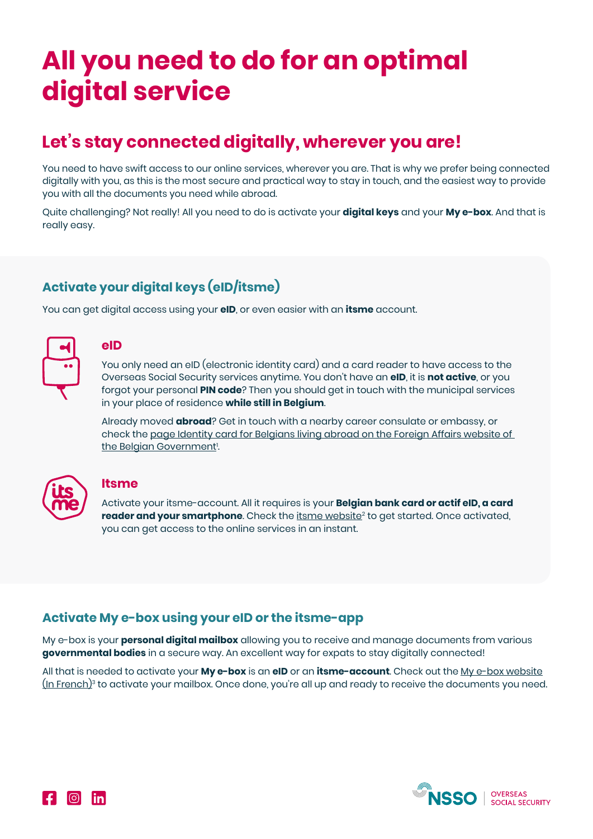# **All you need to do for an optimal digital service**

# **Let's stay connected digitally, wherever you are!**

You need to have swift access to our online services, wherever you are. That is why we prefer being connected digitally with you, as this is the most secure and practical way to stay in touch, and the easiest way to provide you with all the documents you need while abroad.

Quite challenging? Not really! All you need to do is activate your **digital keys** and your **My e-box**. And that is really easy.

# **Activate your digital keys (eID/itsme)**

You can get digital access using your **eID**, or even easier with an **itsme** account.



## **eID**

You only need an eID (electronic identity card) and a card reader to have access to the Overseas Social Security services anytime. You don't have an **eID**, it is **not active**, or you forgot your personal **PIN code**? Then you should get in touch with the municipal services in your place of residence **while still in Belgium**.

Already moved **abroad**? Get in touch with a nearby career consulate or embassy, or check the [page Identity card for Belgians living abroad on the Foreign Affairs website of](https://diplomatie.belgium.be/en/services/services_abroad/identity_card_for_belgians)  [the Belgian Government](https://diplomatie.belgium.be/en/services/services_abroad/identity_card_for_belgians)<sup>1</sup>. .



#### **Itsme**

Activate your itsme-account. All it requires is your **Belgian bank card or actif eID, a card reader and your smartphone**. Check the <u>[itsme website](https://www.itsme.be/en)<sup>2</sup> t</u>o get started. Once activated, you can get access to the online services in an instant.

## **Activate My e-box using your eID or the itsme-app**

My e-box is your **personal digital mailbox** allowing you to receive and manage documents from various **governmental bodies** in a secure way. An excellent way for expats to stay digitally connected!

All that is needed to activate your **My e-box** is an **eID** or an **itsme-account**. Check out the [My e-box website](https://myebox.be/fr)  $(n + 1)^3$  to activate your mailbox. Once done, you're all up and ready to receive the documents you need.